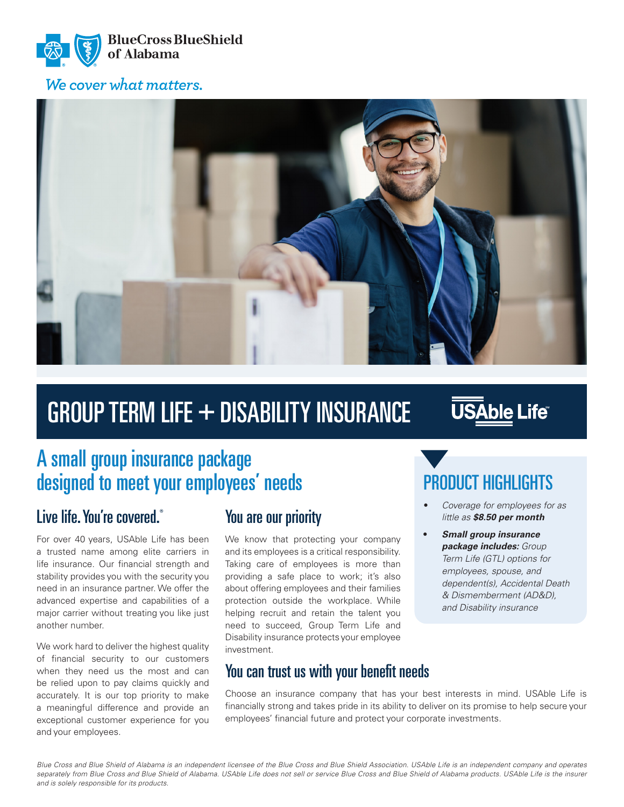

### We cover what matters.



# GROUP TERM LIFE + DISABILITY INSURANCE

# **USAble Life**

# A small group insurance package designed to meet your employees' needs

# Live life. You're covered.

For over 40 years, USAble Life has been a trusted name among elite carriers in life insurance. Our financial strength and stability provides you with the security you need in an insurance partner. We offer the advanced expertise and capabilities of a major carrier without treating you like just another number.

We work hard to deliver the highest quality of financial security to our customers when they need us the most and can be relied upon to pay claims quickly and accurately. It is our top priority to make a meaningful difference and provide an exceptional customer experience for you and your employees.

### You are our priority

We know that protecting your company and its employees is a critical responsibility. Taking care of employees is more than providing a safe place to work; it's also about offering employees and their families protection outside the workplace. While helping recruit and retain the talent you need to succeed, Group Term Life and Disability insurance protects your employee investment.

### You can trust us with your benefit needs

PRODUCT HIGHLIGHTS

- *• Coverage for employees for as little as \$8.50 per month*
	- *• Small group insurance package includes: Group Term Life (GTL) options for employees, spouse, and dependent(s), Accidental Death & Dismemberment (AD&D), and Disability insurance*

Choose an insurance company that has your best interests in mind. USAble Life is financially strong and takes pride in its ability to deliver on its promise to help secure your employees' financial future and protect your corporate investments.

*Blue Cross and Blue Shield of Alabama is an independent licensee of the Blue Cross and Blue Shield Association. USAble Life is an independent company and operates*  separately from Blue Cross and Blue Shield of Alabama. USAble Life does not sell or service Blue Cross and Blue Shield of Alabama products. USAble Life is the insurer *and is solely responsible for its products.*